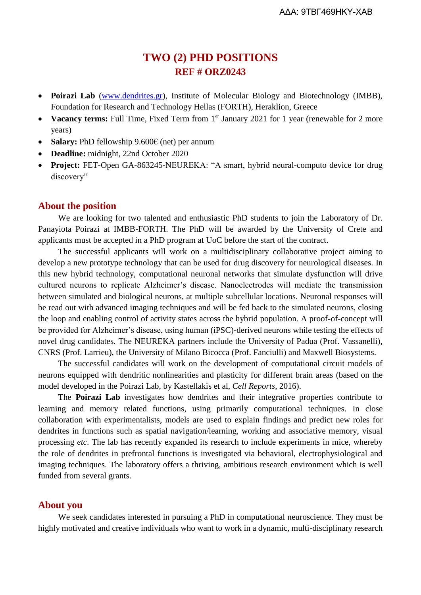# **TWO (2) PHD POSITIONS REF # ORZ0243**

- **Poirazi Lab** [\(www.dendrites.gr\)](http://www.dendrites.gr/), Institute of Molecular Biology and Biotechnology (IMBB), Foundation for Research and Technology Hellas (FORTH), Heraklion, Greece
- Vacancy terms: Full Time, Fixed Term from 1<sup>st</sup> January 2021 for 1 year (renewable for 2 more years)
- **Salary:** PhD fellowship 9.600€ (net) per annum
- **Deadline:** midnight, 22nd October 2020
- **Project:** FET-Open GA-863245-NEUREKA: "A smart, hybrid neural-computo device for drug discovery"

### **About the position**

We are looking for two talented and enthusiastic PhD students to join the Laboratory of Dr. Panayiota Poirazi at IMBB-FORTH. The PhD will be awarded by the University of Crete and applicants must be accepted in a PhD program at UoC before the start of the contract.

The successful applicants will work on a multidisciplinary collaborative project aiming to develop a new prototype technology that can be used for drug discovery for neurological diseases. In this new hybrid technology, computational neuronal networks that simulate dysfunction will drive cultured neurons to replicate Alzheimer's disease. Nanoelectrodes will mediate the transmission between simulated and biological neurons, at multiple subcellular locations. Neuronal responses will be read out with advanced imaging techniques and will be fed back to the simulated neurons, closing the loop and enabling control of activity states across the hybrid population. A proof-of-concept will be provided for Alzheimer's disease, using human (iPSC)-derived neurons while testing the effects of novel drug candidates. The NEUREKA partners include the University of Padua (Prof. Vassanelli), CNRS (Prof. Larrieu), the University of Milano Bicocca (Prof. Fanciulli) and Maxwell Biosystems.

The successful candidates will work on the development of computational circuit models of neurons equipped with dendritic nonlinearities and plasticity for different brain areas (based on the model developed in the Poirazi Lab, by Kastellakis et al, *Cell Reports*, 2016).

The **Poirazi Lab** investigates how dendrites and their integrative properties contribute to learning and memory related functions, using primarily computational techniques. In close collaboration with experimentalists, models are used to explain findings and predict new roles for dendrites in functions such as spatial navigation/learning, working and associative memory, visual processing *etc*. The lab has recently expanded its research to include experiments in mice, whereby the role of dendrites in prefrontal functions is investigated via behavioral, electrophysiological and imaging techniques. The laboratory offers a thriving, ambitious research environment which is well funded from several grants.

#### **About you**

We seek candidates interested in pursuing a PhD in computational neuroscience. They must be highly motivated and creative individuals who want to work in a dynamic, multi-disciplinary research